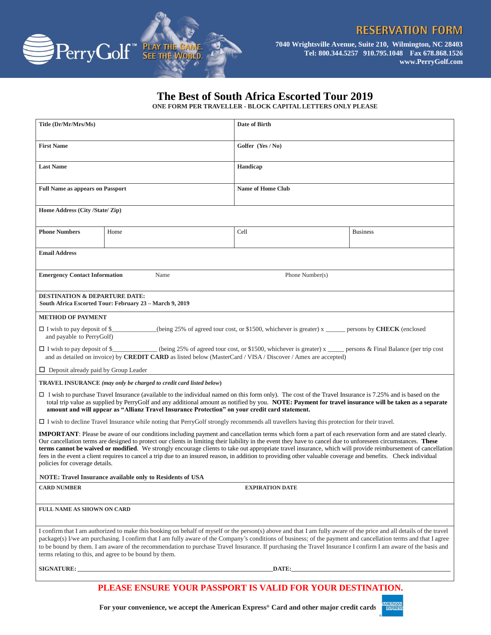**EXPRES** 



**7040 Wrightsville Avenue, Suite 210, Wilmington, NC 28403 Tel: 800.344.5257 910.795.1048 Fax 678.868.1526 www.PerryGolf.com**

## **The Best of South Africa Escorted Tour 2019**

**ONE FORM PER TRAVELLER - BLOCK CAPITAL LETTERS ONLY PLEASE**

| Title (Dr/Mr/Mrs/Ms)                                                                                                                                                                                                                                                                                                                                                                                                                                                                                                                                                                                                                                                                           |       | Date of Birth            |  |  |  |  |  |
|------------------------------------------------------------------------------------------------------------------------------------------------------------------------------------------------------------------------------------------------------------------------------------------------------------------------------------------------------------------------------------------------------------------------------------------------------------------------------------------------------------------------------------------------------------------------------------------------------------------------------------------------------------------------------------------------|-------|--------------------------|--|--|--|--|--|
| <b>First Name</b>                                                                                                                                                                                                                                                                                                                                                                                                                                                                                                                                                                                                                                                                              |       | Golfer (Yes / No)        |  |  |  |  |  |
| <b>Last Name</b>                                                                                                                                                                                                                                                                                                                                                                                                                                                                                                                                                                                                                                                                               |       | Handicap                 |  |  |  |  |  |
| <b>Full Name as appears on Passport</b>                                                                                                                                                                                                                                                                                                                                                                                                                                                                                                                                                                                                                                                        |       | <b>Name of Home Club</b> |  |  |  |  |  |
| Home Address (City /State/ Zip)                                                                                                                                                                                                                                                                                                                                                                                                                                                                                                                                                                                                                                                                |       |                          |  |  |  |  |  |
| <b>Phone Numbers</b>                                                                                                                                                                                                                                                                                                                                                                                                                                                                                                                                                                                                                                                                           | Home  | Cell<br><b>Business</b>  |  |  |  |  |  |
| <b>Email Address</b>                                                                                                                                                                                                                                                                                                                                                                                                                                                                                                                                                                                                                                                                           |       |                          |  |  |  |  |  |
| <b>Emergency Contact Information</b>                                                                                                                                                                                                                                                                                                                                                                                                                                                                                                                                                                                                                                                           | Name  | Phone Number(s)          |  |  |  |  |  |
| <b>DESTINATION &amp; DEPARTURE DATE:</b><br>South Africa Escorted Tour: February 23 - March 9, 2019                                                                                                                                                                                                                                                                                                                                                                                                                                                                                                                                                                                            |       |                          |  |  |  |  |  |
| <b>METHOD OF PAYMENT</b>                                                                                                                                                                                                                                                                                                                                                                                                                                                                                                                                                                                                                                                                       |       |                          |  |  |  |  |  |
| $\Box$ I wish to pay deposit of \$<br>(being 25% of agreed tour cost, or \$1500, whichever is greater) $x \rightarrow$ persons by <b>CHECK</b> (enclosed<br>and payable to PerryGolf)                                                                                                                                                                                                                                                                                                                                                                                                                                                                                                          |       |                          |  |  |  |  |  |
| (being 25% of agreed tour cost, or \$1500, whichever is greater) x ______ persons & Final Balance (per trip cost<br>$\Box$ I wish to pay deposit of \$<br>and as detailed on invoice) by <b>CREDIT CARD</b> as listed below (MasterCard / VISA / Discover / Amex are accepted)                                                                                                                                                                                                                                                                                                                                                                                                                 |       |                          |  |  |  |  |  |
| $\Box$ Deposit already paid by Group Leader                                                                                                                                                                                                                                                                                                                                                                                                                                                                                                                                                                                                                                                    |       |                          |  |  |  |  |  |
| <b>TRAVEL INSURANCE</b> (may only be charged to credit card listed below)                                                                                                                                                                                                                                                                                                                                                                                                                                                                                                                                                                                                                      |       |                          |  |  |  |  |  |
| $\Box$ I wish to purchase Travel Insurance (available to the individual named on this form only). The cost of the Travel Insurance is 7.25% and is based on the<br>total trip value as supplied by PerryGolf and any additional amount as notified by you. NOTE: Payment for travel insurance will be taken as a separate<br>amount and will appear as "Allianz Travel Insurance Protection" on your credit card statement.                                                                                                                                                                                                                                                                    |       |                          |  |  |  |  |  |
| $\Box$ I wish to decline Travel Insurance while noting that PerryGolf strongly recommends all travellers having this protection for their travel.                                                                                                                                                                                                                                                                                                                                                                                                                                                                                                                                              |       |                          |  |  |  |  |  |
| IMPORTANT: Please be aware of our conditions including payment and cancellation terms which form a part of each reservation form and are stated clearly.<br>Our cancellation terms are designed to protect our clients in limiting their liability in the event they have to cancel due to unforeseen circumstances. These<br>terms cannot be waived or modified. We strongly encourage clients to take out appropriate travel insurance, which will provide reimbursement of cancellation<br>fees in the event a client requires to cancel a trip due to an insured reason, in addition to providing other valuable coverage and benefits. Check individual<br>policies for coverage details. |       |                          |  |  |  |  |  |
| <b>NOTE: Travel Insurance available only to Residents of USA</b>                                                                                                                                                                                                                                                                                                                                                                                                                                                                                                                                                                                                                               |       |                          |  |  |  |  |  |
| <b>CARD NUMBER</b><br><b>EXPIRATION DATE</b>                                                                                                                                                                                                                                                                                                                                                                                                                                                                                                                                                                                                                                                   |       |                          |  |  |  |  |  |
| <b>FULL NAME AS SHOWN ON CARD</b>                                                                                                                                                                                                                                                                                                                                                                                                                                                                                                                                                                                                                                                              |       |                          |  |  |  |  |  |
| I confirm that I am authorized to make this booking on behalf of myself or the person(s) above and that I am fully aware of the price and all details of the travel<br>package(s) I/we am purchasing. I confirm that I am fully aware of the Company's conditions of business; of the payment and cancellation terms and that I agree<br>to be bound by them. I am aware of the recommendation to purchase Travel Insurance. If purchasing the Travel Insurance I confirm I am aware of the basis and<br>terms relating to this, and agree to be bound by them.                                                                                                                                |       |                          |  |  |  |  |  |
|                                                                                                                                                                                                                                                                                                                                                                                                                                                                                                                                                                                                                                                                                                | DATE: |                          |  |  |  |  |  |
|                                                                                                                                                                                                                                                                                                                                                                                                                                                                                                                                                                                                                                                                                                |       |                          |  |  |  |  |  |
| PLEASE ENSURE YOUR PASSPORT IS VALID FOR YOUR DESTINATION.                                                                                                                                                                                                                                                                                                                                                                                                                                                                                                                                                                                                                                     |       |                          |  |  |  |  |  |

**For your convenience, we accept the American Express® Card and other major credit cards.**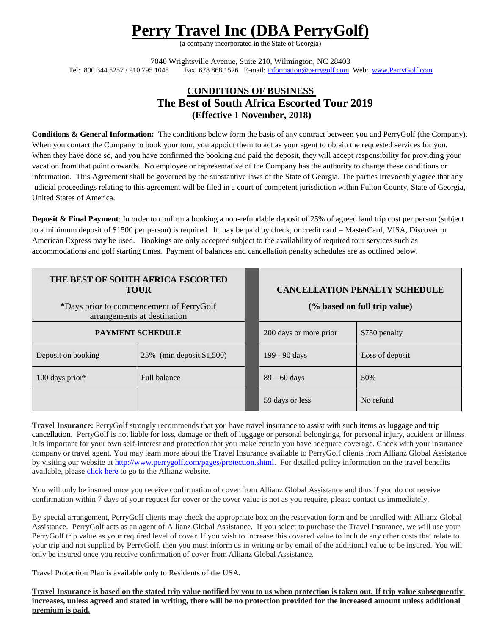## **Perry Travel Inc (DBA PerryGolf)**

(a company incorporated in the State of Georgia)

7040 Wrightsville Avenue, Suite 210, Wilmington, NC 28403 Tel: 800 344 5257 / 910 795 1048 Fax: 678 868 1526 E-mail[: information@perrygolf.com](mailto:information@perrygolf.com) Web: [www.PerryGolf.com](http://www.perrygolf.com/)

## **CONDITIONS OF BUSINESS The Best of South Africa Escorted Tour 2019 (Effective 1 November, 2018)**

**Conditions & General Information:** The conditions below form the basis of any contract between you and PerryGolf (the Company). When you contact the Company to book your tour, you appoint them to act as your agent to obtain the requested services for you. When they have done so, and you have confirmed the booking and paid the deposit, they will accept responsibility for providing your vacation from that point onwards. No employee or representative of the Company has the authority to change these conditions or information.This Agreement shall be governed by the substantive laws of the State of Georgia. The parties irrevocably agree that any judicial proceedings relating to this agreement will be filed in a court of competent jurisdiction within Fulton County, State of Georgia, United States of America.

**Deposit & Final Payment**: In order to confirm a booking a non-refundable deposit of 25% of agreed land trip cost per person (subject to a minimum deposit of \$1500 per person) is required. It may be paid by check, or credit card – MasterCard, VISA, Discover or American Express may be used. Bookings are only accepted subject to the availability of required tour services such as accommodations and golf starting times. Payment of balances and cancellation penalty schedules are as outlined below.

| THE BEST OF SOUTH AFRICA ESCORTED<br><b>TOUR</b><br>*Days prior to commencement of PerryGolf<br>arrangements at destination |                             |  | <b>CANCELLATION PENALTY SCHEDULE</b><br>(% based on full trip value) |                 |
|-----------------------------------------------------------------------------------------------------------------------------|-----------------------------|--|----------------------------------------------------------------------|-----------------|
| <b>PAYMENT SCHEDULE</b>                                                                                                     |                             |  | 200 days or more prior                                               | \$750 penalty   |
| Deposit on booking                                                                                                          | 25% (min deposit $$1,500$ ) |  | 199 - 90 days                                                        | Loss of deposit |
| $100$ days prior*                                                                                                           | <b>Full balance</b>         |  | $89 - 60$ days                                                       | 50%             |
|                                                                                                                             |                             |  | 59 days or less                                                      | No refund       |

**Travel Insurance:** PerryGolf strongly recommends that you have travel insurance to assist with such items as luggage and trip cancellation. PerryGolf is not liable for loss, damage or theft of luggage or personal belongings, for personal injury, accident or illness. It is important for your own self-interest and protection that you make certain you have adequate coverage. Check with your insurance company or travel agent. You may learn more about the Travel Insurance available to PerryGolf clients from Allianz Global Assistance by visiting our website at [http://www.perrygolf.com/pages/protection.shtml.](http://www.perrygolf.com/pages/protection.shtml) For detailed policy information on the travel benefits available, please [click here](https://www.allianzworldwidepartners.com/usa/terms-and-conditions/001004365) to go to the Allianz website.

You will only be insured once you receive confirmation of cover from Allianz Global Assistance and thus if you do not receive confirmation within 7 days of your request for cover or the cover value is not as you require, please contact us immediately.

By special arrangement, PerryGolf clients may check the appropriate box on the reservation form and be enrolled with Allianz Global Assistance. PerryGolf acts as an agent of Allianz Global Assistance. If you select to purchase the Travel Insurance, we will use your PerryGolf trip value as your required level of cover. If you wish to increase this covered value to include any other costs that relate to your trip and not supplied by PerryGolf, then you must inform us in writing or by email of the additional value to be insured. You will only be insured once you receive confirmation of cover from Allianz Global Assistance.

Travel Protection Plan is available only to Residents of the USA.

**Travel Insurance is based on the stated trip value notified by you to us when protection is taken out. If trip value subsequently increases, unless agreed and stated in writing, there will be no protection provided for the increased amount unless additional premium is paid.**